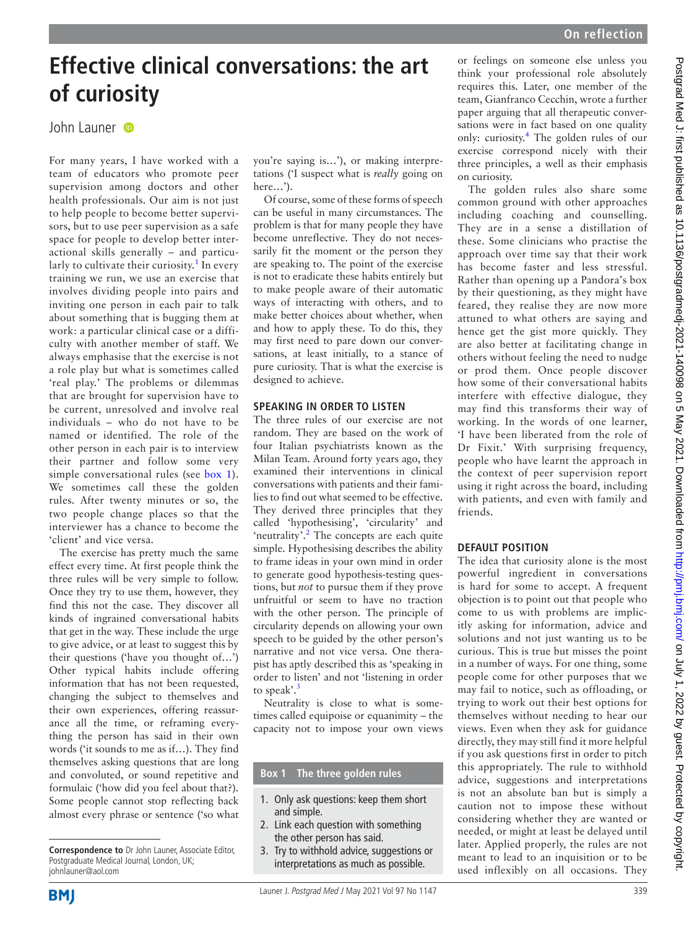# **Effective clinical conversations: the art of curiosity**

### John Launer

For many years, I have worked with a team of educators who promote peer supervision among doctors and other health professionals. Our aim is not just to help people to become better supervisors, but to use peer supervision as a safe space for people to develop better interactional skills generally – and particu-larly to cultivate their curiosity.<sup>[1](#page-1-0)</sup> In every training we run, we use an exercise that involves dividing people into pairs and inviting one person in each pair to talk about something that is bugging them at work: a particular clinical case or a difficulty with another member of staff. We always emphasise that the exercise is not a role play but what is sometimes called 'real play.' The problems or dilemmas that are brought for supervision have to be current, unresolved and involve real individuals – who do not have to be named or identified. The role of the other person in each pair is to interview their partner and follow some very simple conversational rules (see [box](#page-0-0) 1). We sometimes call these the golden rules. After twenty minutes or so, the two people change places so that the interviewer has a chance to become the 'client' and vice versa.

The exercise has pretty much the same effect every time. At first people think the three rules will be very simple to follow. Once they try to use them, however, they find this not the case. They discover all kinds of ingrained conversational habits that get in the way. These include the urge to give advice, or at least to suggest this by their questions ('have you thought of…') Other typical habits include offering information that has not been requested, changing the subject to themselves and their own experiences, offering reassurance all the time, or reframing everything the person has said in their own words ('it sounds to me as if…). They find themselves asking questions that are long and convoluted, or sound repetitive and formulaic ('how did you feel about that?). Some people cannot stop reflecting back almost every phrase or sentence ('so what you're saying is…'), or making interpretations ('I suspect what is *really* going on here…').

Of course, some of these forms of speech can be useful in many circumstances. The problem is that for many people they have become unreflective. They do not necessarily fit the moment or the person they are speaking to. The point of the exercise is not to eradicate these habits entirely but to make people aware of their automatic ways of interacting with others, and to make better choices about whether, when and how to apply these. To do this, they may first need to pare down our conversations, at least initially, to a stance of pure curiosity. That is what the exercise is designed to achieve.

#### **SPEAKING IN ORDER TO LISTEN**

The three rules of our exercise are not random. They are based on the work of four Italian psychiatrists known as the Milan Team. Around forty years ago, they examined their interventions in clinical conversations with patients and their families to find out what seemed to be effective. They derived three principles that they called 'hypothesising', 'circularity' and 'neutrality'.<sup>[2](#page-1-1)</sup> The concepts are each quite simple. Hypothesising describes the ability to frame ideas in your own mind in order to generate good hypothesis-testing questions, but *not* to pursue them if they prove unfruitful or seem to have no traction with the other person. The principle of circularity depends on allowing your own speech to be guided by the other person's narrative and not vice versa. One therapist has aptly described this as 'speaking in order to listen' and not 'listening in order to speak'. $3$ 

Neutrality is close to what is sometimes called equipoise or equanimity – the capacity not to impose your own views

#### **Box 1 The three golden rules**

- <span id="page-0-0"></span>1. Only ask questions: keep them short and simple.
- 2. Link each question with something the other person has said.
- 3. Try to withhold advice, suggestions or interpretations as much as possible.

or feelings on someone else unless you think your professional role absolutely requires this. Later, one member of the team, Gianfranco Cecchin, wrote a further paper arguing that all therapeutic conversations were in fact based on one quality only: curiosity[.4](#page-1-3) The golden rules of our exercise correspond nicely with their three principles, a well as their emphasis on curiosity.

The golden rules also share some common ground with other approaches including coaching and counselling. They are in a sense a distillation of these. Some clinicians who practise the approach over time say that their work has become faster and less stressful. Rather than opening up a Pandora's box by their questioning, as they might have feared, they realise they are now more attuned to what others are saying and hence get the gist more quickly. They are also better at facilitating change in others without feeling the need to nudge or prod them. Once people discover how some of their conversational habits interfere with effective dialogue, they may find this transforms their way of working. In the words of one learner, 'I have been liberated from the role of Dr Fixit.' With surprising frequency, people who have learnt the approach in the context of peer supervision report using it right across the board, including with patients, and even with family and friends.

#### **DEFAULT POSITION**

The idea that curiosity alone is the most powerful ingredient in conversations is hard for some to accept. A frequent objection is to point out that people who come to us with problems are implicitly asking for information, advice and solutions and not just wanting us to be curious. This is true but misses the point in a number of ways. For one thing, some people come for other purposes that we may fail to notice, such as offloading, or trying to work out their best options for themselves without needing to hear our views. Even when they ask for guidance directly, they may still find it more helpful if you ask questions first in order to pitch this appropriately. The rule to withhold advice, suggestions and interpretations is not an absolute ban but is simply a caution not to impose these without considering whether they are wanted or needed, or might at least be delayed until later. Applied properly, the rules are not meant to lead to an inquisition or to be used inflexibly on all occasions. They

**Correspondence to** Dr John Launer, Associate Editor, Postgraduate Medical Journal, London, UK; johnlauner@aol.com